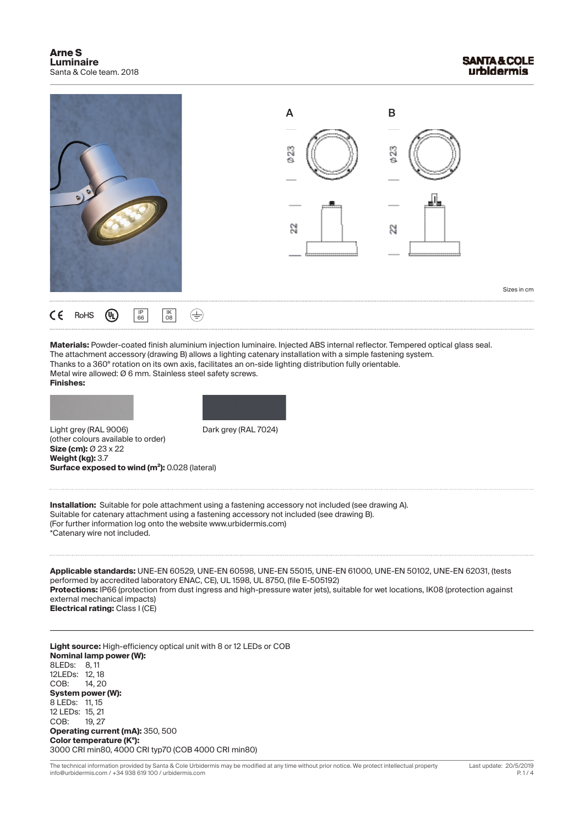

**Materials:** Powder-coated finish aluminium injection luminaire. Injected ABS internal reflector. Tempered optical glass seal. The attachment accessory (drawing B) allows a lighting catenary installation with a simple fastening system. Thanks to a 360º rotation on its own axis, facilitates an on-side lighting distribution fully orientable. Metal wire allowed: Ø 6 mm. Stainless steel safety screws. **Finishes:**

Light grey (RAL 9006) Dark grey (RAL 7024) (other colours available to order) **Size (cm):** Ø 23 x 22 **Weight (kg):** 3.7 **Surface exposed to wind (m²):** 0.028 (lateral)



**Installation:** Suitable for pole attachment using a fastening accessory not included (see drawing A). Suitable for catenary attachment using a fastening accessory not included (see drawing B). (For further information log onto the website www.urbidermis.com) \*Catenary wire not included.

**Applicable standards:** UNE-EN 60529, UNE-EN 60598, UNE-EN 55015, UNE-EN 61000, UNE-EN 50102, UNE-EN 62031, (tests performed by accredited laboratory ENAC, CE), UL 1598, UL 8750, (file E-505192) **Protections:** IP66 (protection from dust ingress and high-pressure water jets), suitable for wet locations, IK08 (protection against external mechanical impacts) **Electrical rating:** Class I (CE)

**Light source:** High-efficiency optical unit with 8 or 12 LEDs or COB **Nominal lamp power (W):** 8LEDs: 8, 11 12LEDs: 12, 18 COB: 14, 20 **System power (W):** 8 LEDs: 11, 15 12 LEDs: 15, 21 COB: 19, 27 **Operating current (mA):** 350, 500 **Color temperature (Kº):** 3000 CRI min80, 4000 CRI typ70 (COB 4000 CRI min80)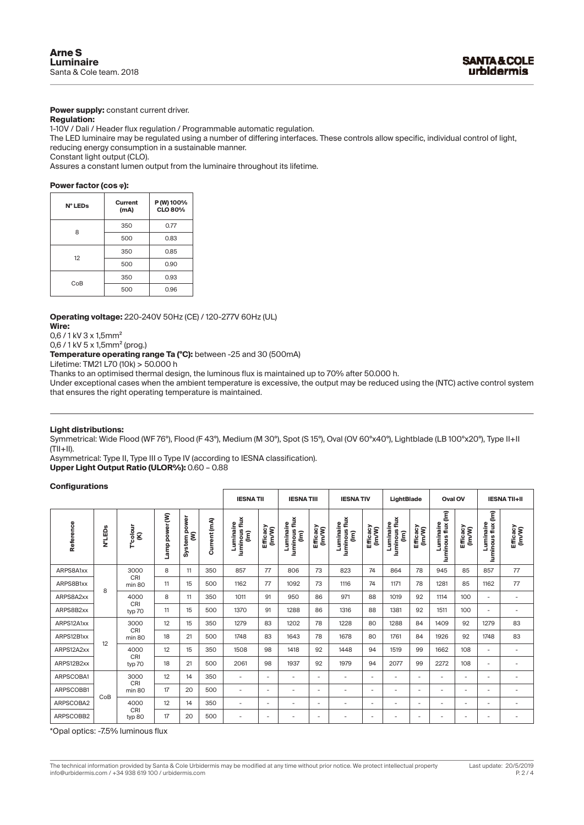**Power supply:** constant current driver.

### **Regulation:**

1-10V / Dali / Header flux regulation / Programmable automatic regulation.

The LED luminaire may be regulated using a number of differing interfaces. These controls allow specific, individual control of light, reducing energy consumption in a sustainable manner.

Constant light output (CLO).

Assures a constant lumen output from the luminaire throughout its lifetime.

#### **Power factor (cos ᵩ):**

| N° LEDs | Current<br>(mA) | P (W) 100%<br><b>CLO 80%</b> |  |  |  |  |
|---------|-----------------|------------------------------|--|--|--|--|
| 8       | 350             | 0.77                         |  |  |  |  |
|         | 500             | 0.83                         |  |  |  |  |
| 12      | 350             | 0.85                         |  |  |  |  |
|         | 500             | 0.90                         |  |  |  |  |
| CoB     | 350             | 0.93                         |  |  |  |  |
|         | 500             | 0.96                         |  |  |  |  |

**Operating voltage:** 220-240V 50Hz (CE) / 120-277V 60Hz (UL)

**Wire:** 

0,6 / 1 kV 3 x 1,5mm²

0,6 / 1 kV 5 x 1,5mm² (prog.)

**Temperature operating range Ta (ºC):** between -25 and 30 (500mA)

Lifetime: TM21 L70 (10k) > 50.000 h

Thanks to an optimised thermal design, the luminous flux is maintained up to 70% after 50.000 h.

Under exceptional cases when the ambient temperature is excessive, the output may be reduced using the (NTC) active control system that ensures the right operating temperature is maintained.

#### **Light distributions:**

Symmetrical: Wide Flood (WF 76º), Flood (F 43º), Medium (M 30º), Spot (S 15º), Oval (OV 60ºx40º), Lightblade (LB 100ºx20º), Type II+II  $(T||+||)$ .

Asymmetrical: Type II, Type III o Type IV (according to IESNA classification). **Upper Light Output Ratio (ULOR%):** 0.60 – 0.88

#### **Configurations**

|            |                    |                       |                |                   |              | <b>IESNATII</b>                  |                          | <b>IESNATIII</b>                 |                          | <b>IESNATIV</b>                  |                          | LightBlade                      |                          | Oval OV                         |                          | <b>IESNATII+II</b>              |                          |                          |                          |      |    |      |     |                          |                          |
|------------|--------------------|-----------------------|----------------|-------------------|--------------|----------------------------------|--------------------------|----------------------------------|--------------------------|----------------------------------|--------------------------|---------------------------------|--------------------------|---------------------------------|--------------------------|---------------------------------|--------------------------|--------------------------|--------------------------|------|----|------|-----|--------------------------|--------------------------|
| Reference  | N°LED <sub>S</sub> | T"colour<br>(K)       | Lamp power (W) | System power<br>ξ | Current (mA) | luminous flux<br>Luminaire<br>ίm | Efficacy<br>(Im/W)       | luminous flux<br>Luminaire<br>ίm | Efficacy<br>(Im/W)       | luminous flux<br>Luminaire<br>ίE | Efficacy<br>(Im/W)       | luminous flux<br>Luminaire<br>ξ | Efficacy<br>(Im/W)       | luminous flux (Im)<br>Luminaire | Efficacy<br>(Im/W)       | luminous flux (Im)<br>Luminaire | Efficacy<br>(Im/W)       |                          |                          |      |    |      |     |                          |                          |
| ARPS8A1xx  |                    | 3000<br>CRI<br>min 80 | 8              | 11                | 350          | 857                              | 77                       | 806                              | 73                       | 823                              | 74                       | 864                             | 78                       | 945                             | 85                       | 857                             | 77                       |                          |                          |      |    |      |     |                          |                          |
| ARPS8B1xx  | 8                  |                       | 11             | 15                | 500          | 1162                             | 77                       | 1092                             | 73                       | 1116                             | 74                       | 1171                            | 78                       | 1281                            | 85                       | 1162                            | 77                       |                          |                          |      |    |      |     |                          |                          |
| ARPS8A2xx  |                    | 4000<br>CRI           | 8              | 11                | 350          | 1011                             | 91                       | 950                              | 86                       | 971                              | 88                       | 1019                            | 92                       | 1114                            | 100                      | $\overline{\phantom{a}}$        | $\overline{\phantom{a}}$ |                          |                          |      |    |      |     |                          |                          |
| ARPS8B2xx  |                    |                       |                | typ 70            | 11           | 15                               | 500                      | 1370                             | 91                       | 1288                             | 86                       | 1316                            | 88                       | 1381                            | 92                       | 1511                            | 100                      | $\overline{\phantom{0}}$ | $\overline{\phantom{a}}$ |      |    |      |     |                          |                          |
| ARPS12A1xx |                    | 3000<br>CRI<br>min 80 | 12             | 15                | 350          | 1279                             | 83                       | 1202                             | 78                       | 1228                             | 80                       | 1288                            | 84                       | 1409                            | 92                       | 1279                            | 83                       |                          |                          |      |    |      |     |                          |                          |
| ARPS12B1xx | 12                 |                       | 18             | 21                | 500          | 1748                             | 83                       | 1643                             | 78                       | 1678                             | 80                       | 1761                            | 84                       | 1926                            | 92                       | 1748                            | 83                       |                          |                          |      |    |      |     |                          |                          |
| ARPS12A2xx |                    | 4000<br>CRI           | 12             | 15                | 350          | 1508                             | 98                       | 1418                             | 92                       | 1448                             | 94                       | 1519                            | 99                       | 1662                            | 108                      | $\overline{\phantom{a}}$        | $\overline{\phantom{a}}$ |                          |                          |      |    |      |     |                          |                          |
| ARPS12B2xx |                    |                       |                |                   |              |                                  |                          |                                  |                          | typ 70                           | 18                       | 21                              | 500                      | 2061                            | 98                       | 1937                            | 92                       | 1979                     | 94                       | 2077 | 99 | 2272 | 108 | $\overline{\phantom{0}}$ | $\overline{\phantom{a}}$ |
| ARPSCOBA1  |                    | 3000<br>CRI           | 12             | 14                | 350          | $\overline{\phantom{a}}$         | ٠                        | $\overline{\phantom{a}}$         | $\overline{\phantom{a}}$ | $\overline{\phantom{a}}$         | $\overline{\phantom{a}}$ | ٠                               | $\overline{\phantom{a}}$ | $\overline{\phantom{a}}$        | $\overline{\phantom{a}}$ | -                               | $\overline{\phantom{a}}$ |                          |                          |      |    |      |     |                          |                          |
| ARPSCOBB1  | CoB                | min 80                | 17             | 20                | 500          | $\overline{a}$                   | ٠                        | $\overline{\phantom{a}}$         | $\overline{\phantom{m}}$ | ٠                                | $\overline{\phantom{a}}$ | ٠                               | $\overline{\phantom{a}}$ | $\overline{\phantom{a}}$        | $\overline{\phantom{0}}$ | $\overline{\phantom{a}}$        | $\overline{\phantom{a}}$ |                          |                          |      |    |      |     |                          |                          |
| ARPSCOBA2  |                    | 4000<br>CRI           | 12             | 14                | 350          | $\overline{\phantom{a}}$         | ٠                        | $\overline{\phantom{a}}$         | $\overline{\phantom{m}}$ | ٠                                | $\overline{\phantom{a}}$ | ٠                               | $\overline{\phantom{a}}$ | $\overline{\phantom{a}}$        | $\overline{\phantom{0}}$ | $\overline{\phantom{0}}$        | $\overline{\phantom{a}}$ |                          |                          |      |    |      |     |                          |                          |
| ARPSCOBB2  |                    | typ 80                | 17             | 20                | 500          | $\overline{\phantom{0}}$         | $\overline{\phantom{a}}$ | $\overline{\phantom{a}}$         | $\overline{\phantom{0}}$ | ٠                                | $\overline{\phantom{a}}$ | ٠                               | $\overline{\phantom{a}}$ | $\overline{\phantom{a}}$        | $\overline{\phantom{0}}$ | $\overline{\phantom{0}}$        | ٠                        |                          |                          |      |    |      |     |                          |                          |

\*Opal optics: -7.5% luminous flux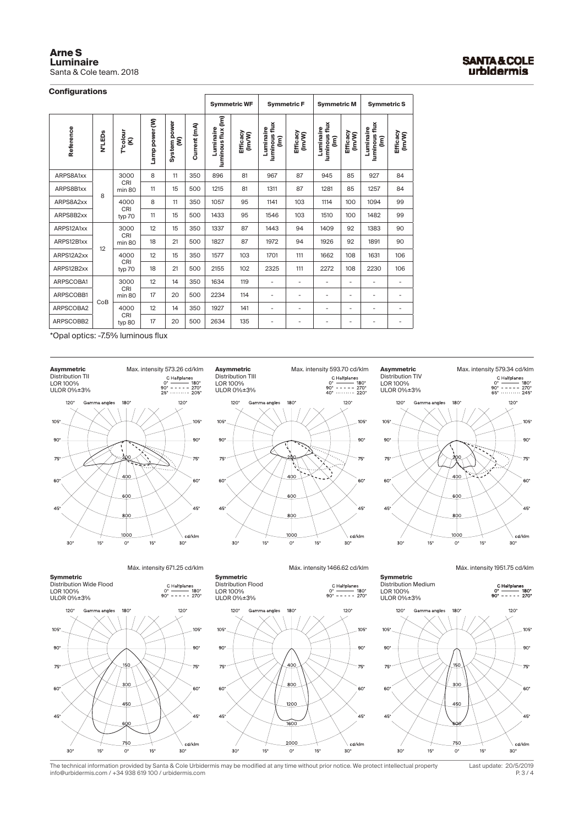| <b>Arne S</b>           |
|-------------------------|
| <b>Luminaire</b>        |
| Santa & Cole team, 2018 |

## **Configurations**

|            |                    |                            |                |                   |              |                                 | <b>Symmetric WF</b> | <b>Symmetric F</b>              |                          | <b>Symmetric M</b>              |                              | <b>Symmetric S</b>              |                              |
|------------|--------------------|----------------------------|----------------|-------------------|--------------|---------------------------------|---------------------|---------------------------------|--------------------------|---------------------------------|------------------------------|---------------------------------|------------------------------|
| Reference  | N°LED <sub>S</sub> | T <sup>a</sup> colour<br>g | Lamp power (W) | System power<br>ξ | Current (mA) | luminous flux (Im)<br>Luminaire | Efficacy<br>(Im/W)  | luminous flux<br>Luminaire<br>ξ | Efficacy<br>(Im/W)       | luminous flux<br>Luminaire<br>ξ | Efficacy<br>(Im/W)           | luminous flux<br>Luminaire<br>ξ | Efficacy<br>(Im/W)           |
| ARPS8A1xx  |                    | 3000<br>CRI                | 8              | 11                | 350          | 896                             | 81                  | 967                             | 87                       | 945                             | 85                           | 927                             | 84                           |
| ARPS8B1xx  | 8                  | min 80                     | 11             | 15                | 500          | 1215                            | 81                  | 1311                            | 87                       | 1281                            | 85                           | 1257                            | 84                           |
| ARPS8A2xx  |                    | 4000                       | 8              | 11                | 350          | 1057                            | 95                  | 1141                            | 103                      | 1114                            | 100                          | 1094                            | 99                           |
| ARPS8B2xx  |                    | CRI<br>typ 70              | 11             | 15                | 500          | 1433                            | 95                  | 1546                            | 103                      | 1510                            | 100                          | 1482                            | 99                           |
| ARPS12A1xx |                    | 3000<br>CRI                | 12             | 15                | 350          | 1337                            | 87                  | 1443                            | 94                       | 1409                            | 92                           | 1383                            | 90                           |
| ARPS12B1xx | 12                 | min 80                     | 18             | 21                | 500          | 1827                            | 87                  | 1972                            | 94                       | 1926                            | 92                           | 1891                            | 90                           |
| ARPS12A2xx |                    | 4000<br>CRI                | 12             | 15                | 350          | 1577                            | 103                 | 1701                            | 111                      | 1662                            | 108                          | 1631                            | 106                          |
| ARPS12B2xx |                    | typ 70                     | 18             | 21                | 500          | 2155                            | 102                 | 2325                            | 111                      | 2272                            | 108                          | 2230                            | 106                          |
| ARPSCOBA1  |                    | 3000<br>CRI                | 12             | 14                | 350          | 1634                            | 119                 | $\overline{\phantom{a}}$        | $\overline{\phantom{a}}$ | $\qquad \qquad \blacksquare$    | $\overline{\phantom{0}}$     | $\overline{\phantom{a}}$        | -                            |
| ARPSCOBB1  | CoB                | min 80                     | 17             | 20                | 500          | 2234                            | 114                 | ۰                               | $\overline{\phantom{a}}$ | $\overline{\phantom{0}}$        | $\overline{\phantom{0}}$     | $\overline{\phantom{a}}$        | -                            |
| ARPSCOBA2  |                    | 4000<br>CRI                | 12             | 14                | 350          | 1927                            | 141                 | $\overline{\phantom{a}}$        | $\overline{\phantom{a}}$ | $\qquad \qquad \blacksquare$    | $\qquad \qquad \blacksquare$ | $\overline{\phantom{a}}$        | $\overline{\phantom{0}}$     |
| ARPSCOBB2  |                    | typ 80                     | 17             | 20                | 500          | 2634                            | 135                 | $\overline{\phantom{a}}$        | $\overline{\phantom{a}}$ | $\overline{\phantom{0}}$        | $\overline{\phantom{0}}$     | $\overline{\phantom{a}}$        | $\qquad \qquad \blacksquare$ |

**Asymmetric**

\*Opal optics: -7.5% luminous flux





 $180<sup>6</sup>$ 

ma angles

Max. intensity 593.70 cd/klm **Asymmetric** Max. intensity 579.34 cd/klm Charibanes Distribution TIV Charibanes<br>  $\begin{array}{ccc}\n0^{\circ} & \text{Distribution TV} \\
0^{\circ} & \text{Distribution TV} \\
90^{\circ} & \text{DCP} & 180^{\circ} \\
40^{\circ} & \text{DCP} & 100\% \\
\end{array}$ **Asymmetric** Distribution TIV LOR 100% ULOR 0%±3%  $120^\circ$ Gamma angles 180  $120$  $105'$ 105  $90^\circ$  $-90^{\circ}$  $75^\circ$  $-75^{\circ}$ 60 60  $\overline{AB}$  $100^{\circ}$ cd/klm  $30^{\circ}$  $15^\circ$  $0^{\circ}$  $15^\circ$  $30^{\circ}$ 

Máx. intensity 671.25 cd/klm





**Symmetric** Distribution Flood LOR 100% ULOR 0%±3%

 $105<sup>o</sup>$ 

 $90^\circ$ 

 $75<sup>6</sup>$ 

60

45

 $30^{\circ}$ 



 $120<sup>°</sup>$ 

 $105<sup>o</sup>$ 

 $.90^{\circ}$ 

 $75^\circ$ 

60

45

\ cd/klm

 $30<sup>°</sup>$ 

**Symmetric**  Distribution Medium LOR 100% ULOR 0%±3%

C Halfplanes<br>  $0^{\circ}$  ----- 180°<br>
90° ----- 270°

Máx. intensity 1951.75 cd/klm



P. 3 / 4 The technical information provided by Santa & Cole Urbidermis may be modified at any time without prior notice. We protect intellectual property Last update: 20/5/2019 info@urbidermis.com / +34 938 619 100 / urbidermis.com

 $15^{\circ}$ 

200C

 $\overline{O}$ 

 $15<sup>°</sup>$